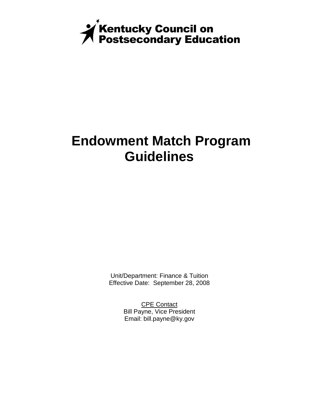

# **Endowment Match Program Guidelines**

Unit/Department: Finance & Tuition Effective Date: September 28, 2008

> CPE Contact Bill Payne, Vice President Email: bill.payne@ky.gov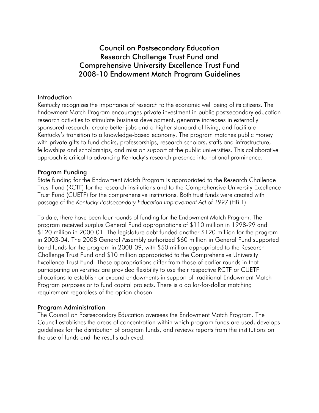# Council on Postsecondary Education Research Challenge Trust Fund and Comprehensive University Excellence Trust Fund 2008-10 Endowment Match Program Guidelines

#### Introduction

Kentucky recognizes the importance of research to the economic well being of its citizens. The Endowment Match Program encourages private investment in public postsecondary education research activities to stimulate business development, generate increases in externally sponsored research, create better jobs and a higher standard of living, and facilitate Kentucky's transition to a knowledge-based economy. The program matches public money with private gifts to fund chairs, professorships, research scholars, staffs and infrastructure, fellowships and scholarships, and mission support at the public universities. This collaborative approach is critical to advancing Kentucky's research presence into national prominence.

#### Program Funding

State funding for the Endowment Match Program is appropriated to the Research Challenge Trust Fund (RCTF) for the research institutions and to the Comprehensive University Excellence Trust Fund (CUETF) for the comprehensive institutions. Both trust funds were created with passage of the *Kentucky Postsecondary Education Improvement Act of 1997* (HB 1).

To date, there have been four rounds of funding for the Endowment Match Program. The program received surplus General Fund appropriations of \$110 million in 1998-99 and \$120 million in 2000-01. The legislature debt funded another \$120 million for the program in 2003-04. The 2008 General Assembly authorized \$60 million in General Fund supported bond funds for the program in 2008-09, with \$50 million appropriated to the Research Challenge Trust Fund and \$10 million appropriated to the Comprehensive University Excellence Trust Fund. These appropriations differ from those of earlier rounds in that participating universities are provided flexibility to use their respective RCTF or CUETF allocations to establish or expand endowments in support of traditional Endowment Match Program purposes or to fund capital projects. There is a dollar-for-dollar matching requirement regardless of the option chosen.

# Program Administration

The Council on Postsecondary Education oversees the Endowment Match Program. The Council establishes the areas of concentration within which program funds are used, develops guidelines for the distribution of program funds, and reviews reports from the institutions on the use of funds and the results achieved.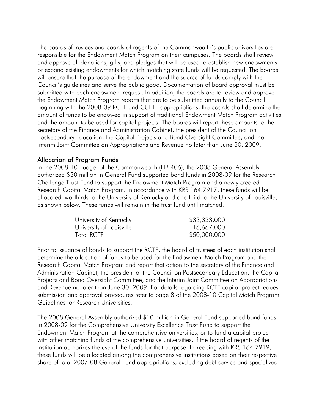The boards of trustees and boards of regents of the Commonwealth's public universities are responsible for the Endowment Match Program on their campuses. The boards shall review and approve all donations, gifts, and pledges that will be used to establish new endowments or expand existing endowments for which matching state funds will be requested. The boards will ensure that the purpose of the endowment and the source of funds comply with the Council's guidelines and serve the public good. Documentation of board approval must be submitted with each endowment request. In addition, the boards are to review and approve the Endowment Match Program reports that are to be submitted annually to the Council. Beginning with the 2008-09 RCTF and CUETF appropriations, the boards shall determine the amount of funds to be endowed in support of traditional Endowment Match Program activities and the amount to be used for capital projects. The boards will report these amounts to the secretary of the Finance and Administration Cabinet, the president of the Council on Postsecondary Education, the Capital Projects and Bond Oversight Committee, and the Interim Joint Committee on Appropriations and Revenue no later than June 30, 2009.

# Allocation of Program Funds

In the 2008-10 Budget of the Commonwealth (HB 406), the 2008 General Assembly authorized \$50 million in General Fund supported bond funds in 2008-09 for the Research Challenge Trust Fund to support the Endowment Match Program and a newly created Research Capital Match Program. In accordance with KRS 164.7917, these funds will be allocated two-thirds to the University of Kentucky and one-third to the University of Louisville, as shown below. These funds will remain in the trust fund until matched.

| University of Kentucky   | \$33,333,000 |
|--------------------------|--------------|
| University of Louisville | 16,667,000   |
| Total RCTF               | \$50,000,000 |

Prior to issuance of bonds to support the RCTF, the board of trustees of each institution shall determine the allocation of funds to be used for the Endowment Match Program and the Research Capital Match Program and report that action to the secretary of the Finance and Administration Cabinet, the president of the Council on Postsecondary Education, the Capital Projects and Bond Oversight Committee, and the Interim Joint Committee on Appropriations and Revenue no later than June 30, 2009. For details regarding RCTF capital project request submission and approval procedures refer to page 8 of the 2008-10 Capital Match Program Guidelines for Research Universities.

The 2008 General Assembly authorized \$10 million in General Fund supported bond funds in 2008-09 for the Comprehensive University Excellence Trust Fund to support the Endowment Match Program at the comprehensive universities, or to fund a capital project with other matching funds at the comprehensive universities, if the board of regents of the institution authorizes the use of the funds for that purpose. In keeping with KRS 164.7919, these funds will be allocated among the comprehensive institutions based on their respective share of total 2007-08 General Fund appropriations, excluding debt service and specialized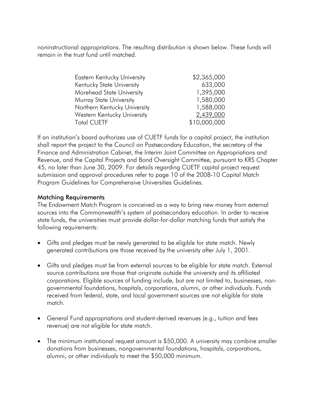noninstructional appropriations. The resulting distribution is shown below. These funds will remain in the trust fund until matched.

| <b>Eastern Kentucky University</b> | \$2,365,000  |
|------------------------------------|--------------|
| Kentucky State University          | 633,000      |
| Morehead State University          | 1,395,000    |
| Murray State University            | 1,580,000    |
| Northern Kentucky University       | 1,588,000    |
| Western Kentucky University        | 2,439,000    |
| <b>Total CUETF</b>                 | \$10,000,000 |

If an institution's board authorizes use of CUETF funds for a capital project, the institution shall report the project to the Council on Postsecondary Education, the secretary of the Finance and Administration Cabinet, the Interim Joint Committee on Appropriations and Revenue, and the Capital Projects and Bond Oversight Committee, pursuant to KRS Chapter 45, no later than June 30, 2009. For details regarding CUETF capital project request submission and approval procedures refer to page 10 of the 2008-10 Capital Match Program Guidelines for Comprehensive Universities Guidelines.

# Matching Requirements

The Endowment Match Program is conceived as a way to bring new money from external sources into the Commonwealth's system of postsecondary education. In order to receive state funds, the universities must provide dollar-for-dollar matching funds that satisfy the following requirements:

- Gifts and pledges must be newly generated to be eligible for state match. Newly generated contributions are those received by the university after July 1, 2001.
- Gifts and pledges must be from external sources to be eligible for state match. External source contributions are those that originate outside the university and its affiliated corporations. Eligible sources of funding include, but are not limited to, businesses, nongovernmental foundations, hospitals, corporations, alumni, or other individuals. Funds received from federal, state, and local government sources are not eligible for state match.
- General Fund appropriations and student-derived revenues (e.g., tuition and fees revenue) are not eligible for state match.
- The minimum institutional request amount is \$50,000. A university may combine smaller donations from businesses, nongovernmental foundations, hospitals, corporations, alumni, or other individuals to meet the \$50,000 minimum.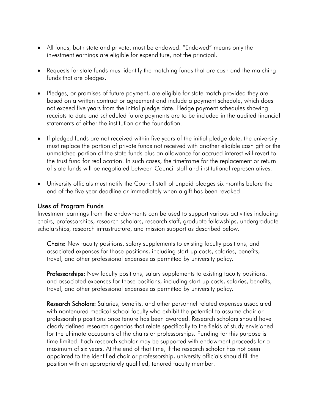- All funds, both state and private, must be endowed. "Endowed" means only the investment earnings are eligible for expenditure, not the principal.
- Requests for state funds must identify the matching funds that are cash and the matching funds that are pledges.
- Pledges, or promises of future payment, are eligible for state match provided they are based on a written contract or agreement and include a payment schedule, which does not exceed five years from the initial pledge date. Pledge payment schedules showing receipts to date and scheduled future payments are to be included in the audited financial statements of either the institution or the foundation.
- If pledged funds are not received within five years of the initial pledge date, the university must replace the portion of private funds not received with another eligible cash gift or the unmatched portion of the state funds plus an allowance for accrued interest will revert to the trust fund for reallocation. In such cases, the timeframe for the replacement or return of state funds will be negotiated between Council staff and institutional representatives.
- University officials must notify the Council staff of unpaid pledges six months before the end of the five-year deadline or immediately when a gift has been revoked.

# Uses of Program Funds

Investment earnings from the endowments can be used to support various activities including chairs, professorships, research scholars, research staff, graduate fellowships, undergraduate scholarships, research infrastructure, and mission support as described below.

Chairs: New faculty positions, salary supplements to existing faculty positions, and associated expenses for those positions, including start-up costs, salaries, benefits, travel, and other professional expenses as permitted by university policy.

Professorships: New faculty positions, salary supplements to existing faculty positions, and associated expenses for those positions, including start-up costs, salaries, benefits, travel, and other professional expenses as permitted by university policy.

Research Scholars: Salaries, benefits, and other personnel related expenses associated with nontenured medical school faculty who exhibit the potential to assume chair or professorship positions once tenure has been awarded. Research scholars should have clearly defined research agendas that relate specifically to the fields of study envisioned for the ultimate occupants of the chairs or professorships. Funding for this purpose is time limited. Each research scholar may be supported with endowment proceeds for a maximum of six years. At the end of that time, if the research scholar has not been appointed to the identified chair or professorship, university officials should fill the position with an appropriately qualified, tenured faculty member.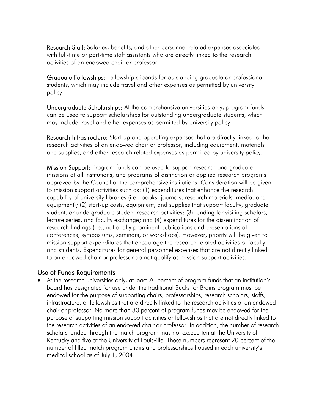Research Staff: Salaries, benefits, and other personnel related expenses associated with full-time or part-time staff assistants who are directly linked to the research activities of an endowed chair or professor.

Graduate Fellowships: Fellowship stipends for outstanding graduate or professional students, which may include travel and other expenses as permitted by university policy.

Undergraduate Scholarships: At the comprehensive universities only, program funds can be used to support scholarships for outstanding undergraduate students, which may include travel and other expenses as permitted by university policy.

Research Infrastructure: Start-up and operating expenses that are directly linked to the research activities of an endowed chair or professor, including equipment, materials and supplies, and other research related expenses as permitted by university policy.

Mission Support: Program funds can be used to support research and graduate missions at all institutions, and programs of distinction or applied research programs approved by the Council at the comprehensive institutions. Consideration will be given to mission support activities such as: (1) expenditures that enhance the research capability of university libraries (i.e., books, journals, research materials, media, and equipment); (2) start-up costs, equipment, and supplies that support faculty, graduate student, or undergraduate student research activities; (3) funding for visiting scholars, lecture series, and faculty exchange; and (4) expenditures for the dissemination of research findings (i.e., nationally prominent publications and presentations at conferences, symposiums, seminars, or workshops). However, priority will be given to mission support expenditures that encourage the research related activities of faculty and students. Expenditures for general personnel expenses that are not directly linked to an endowed chair or professor do not qualify as mission support activities.

# Use of Funds Requirements

• At the research universities only, at least 70 percent of program funds that an institution's board has designated for use under the traditional Bucks for Brains program must be endowed for the purpose of supporting chairs, professorships, research scholars, staffs, infrastructure, or fellowships that are directly linked to the research activities of an endowed chair or professor. No more than 30 percent of program funds may be endowed for the purpose of supporting mission support activities or fellowships that are not directly linked to the research activities of an endowed chair or professor. In addition, the number of research scholars funded through the match program may not exceed ten at the University of Kentucky and five at the University of Louisville. These numbers represent 20 percent of the number of filled match program chairs and professorships housed in each university's medical school as of July 1, 2004.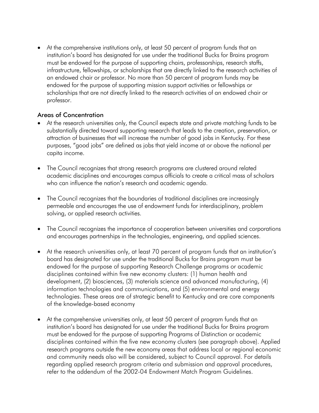• At the comprehensive institutions only, at least 50 percent of program funds that an institution's board has designated for use under the traditional Bucks for Brains program must be endowed for the purpose of supporting chairs, professorships, research staffs, infrastructure, fellowships, or scholarships that are directly linked to the research activities of an endowed chair or professor. No more than 50 percent of program funds may be endowed for the purpose of supporting mission support activities or fellowships or scholarships that are not directly linked to the research activities of an endowed chair or professor.

# Areas of Concentration

- At the research universities only, the Council expects state and private matching funds to be substantially directed toward supporting research that leads to the creation, preservation, or attraction of businesses that will increase the number of good jobs in Kentucky. For these purposes, "good jobs" are defined as jobs that yield income at or above the national per capita income.
- The Council recognizes that strong research programs are clustered around related academic disciplines and encourages campus officials to create a critical mass of scholars who can influence the nation's research and academic agenda.
- The Council recognizes that the boundaries of traditional disciplines are increasingly permeable and encourages the use of endowment funds for interdisciplinary, problem solving, or applied research activities.
- The Council recognizes the importance of cooperation between universities and corporations and encourages partnerships in the technologies, engineering, and applied sciences.
- At the research universities only, at least 70 percent of program funds that an institution's board has designated for use under the traditional Bucks for Brains program must be endowed for the purpose of supporting Research Challenge programs or academic disciplines contained within five new economy clusters: (1) human health and development, (2) biosciences, (3) materials science and advanced manufacturing, (4) information technologies and communications, and (5) environmental and energy technologies. These areas are of strategic benefit to Kentucky and are core components of the knowledge-based economy
- At the comprehensive universities only, at least 50 percent of program funds that an institution's board has designated for use under the traditional Bucks for Brains program must be endowed for the purpose of supporting Programs of Distinction or academic disciplines contained within the five new economy clusters (see paragraph above). Applied research programs outside the new economy areas that address local or regional economic and community needs also will be considered, subject to Council approval. For details regarding applied research program criteria and submission and approval procedures, refer to the addendum of the 2002-04 Endowment Match Program Guidelines.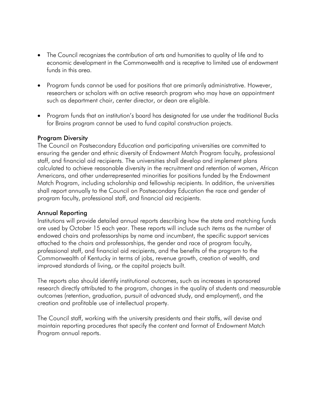- The Council recognizes the contribution of arts and humanities to quality of life and to economic development in the Commonwealth and is receptive to limited use of endowment funds in this area.
- Program funds cannot be used for positions that are primarily administrative. However, researchers or scholars with an active research program who may have an appointment such as department chair, center director, or dean are eligible.
- Program funds that an institution's board has designated for use under the traditional Bucks for Brains program cannot be used to fund capital construction projects.

# Program Diversity

The Council on Postsecondary Education and participating universities are committed to ensuring the gender and ethnic diversity of Endowment Match Program faculty, professional staff, and financial aid recipients. The universities shall develop and implement plans calculated to achieve reasonable diversity in the recruitment and retention of women, African Americans, and other underrepresented minorities for positions funded by the Endowment Match Program, including scholarship and fellowship recipients. In addition, the universities shall report annually to the Council on Postsecondary Education the race and gender of program faculty, professional staff, and financial aid recipients.

# Annual Reporting

Institutions will provide detailed annual reports describing how the state and matching funds are used by October 15 each year. These reports will include such items as the number of endowed chairs and professorships by name and incumbent, the specific support services attached to the chairs and professorships, the gender and race of program faculty, professional staff, and financial aid recipients, and the benefits of the program to the Commonwealth of Kentucky in terms of jobs, revenue growth, creation of wealth, and improved standards of living, or the capital projects built.

The reports also should identify institutional outcomes, such as increases in sponsored research directly attributed to the program, changes in the quality of students and measurable outcomes (retention, graduation, pursuit of advanced study, and employment), and the creation and profitable use of intellectual property.

The Council staff, working with the university presidents and their staffs, will devise and maintain reporting procedures that specify the content and format of Endowment Match Program annual reports.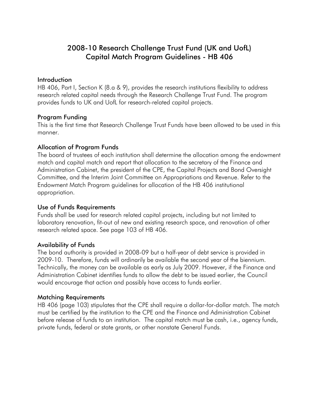# 2008-10 Research Challenge Trust Fund (UK and UofL) Capital Match Program Guidelines - HB 406

#### **Introduction**

HB 406, Part I, Section K (8.a & 9), provides the research institutions flexibility to address research related capital needs through the Research Challenge Trust Fund. The program provides funds to UK and UofL for research-related capital projects.

# Program Funding

This is the first time that Research Challenge Trust Funds have been allowed to be used in this manner.

# Allocation of Program Funds

The board of trustees of each institution shall determine the allocation among the endowment match and capital match and report that allocation to the secretary of the Finance and Administration Cabinet, the president of the CPE, the Capital Projects and Bond Oversight Committee, and the Interim Joint Committee on Appropriations and Revenue. Refer to the Endowment Match Program guidelines for allocation of the HB 406 institutional appropriation.

# Use of Funds Requirements

Funds shall be used for research related capital projects, including but not limited to laboratory renovation, fit-out of new and existing research space, and renovation of other research related space. See page 103 of HB 406.

# Availability of Funds

The bond authority is provided in 2008-09 but a half-year of debt service is provided in 2009-10. Therefore, funds will ordinarily be available the second year of the biennium. Technically, the money can be available as early as July 2009. However, if the Finance and Administration Cabinet identifies funds to allow the debt to be issued earlier, the Council would encourage that action and possibly have access to funds earlier.

# Matching Requirements

HB 406 (page 103) stipulates that the CPE shall require a dollar-for-dollar match. The match must be certified by the institution to the CPE and the Finance and Administration Cabinet before release of funds to an institution. The capital match must be cash, i.e., agency funds, private funds, federal or state grants, or other nonstate General Funds.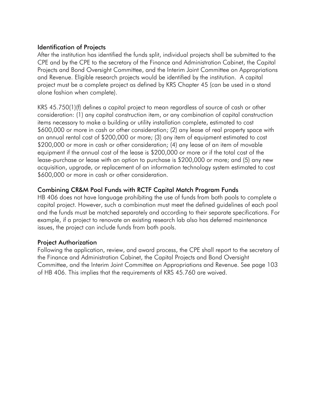# Identification of Projects

After the institution has identified the funds split, individual projects shall be submitted to the CPE and by the CPE to the secretary of the Finance and Administration Cabinet, the Capital Projects and Bond Oversight Committee, and the Interim Joint Committee on Appropriations and Revenue. Eligible research projects would be identified by the institution. A capital project must be a complete project as defined by KRS Chapter 45 (can be used in a stand alone fashion when complete).

KRS 45.750(1)(f) defines a capital project to mean regardless of source of cash or other consideration: (1) any capital construction item, or any combination of capital construction items necessary to make a building or utility installation complete, estimated to cost \$600,000 or more in cash or other consideration; (2) any lease of real property space with an annual rental cost of \$200,000 or more; (3) any item of equipment estimated to cost \$200,000 or more in cash or other consideration; (4) any lease of an item of movable equipment if the annual cost of the lease is \$200,000 or more or if the total cost of the lease-purchase or lease with an option to purchase is \$200,000 or more; and (5) any new acquisition, upgrade, or replacement of an information technology system estimated to cost \$600,000 or more in cash or other consideration.

# Combining CR&M Pool Funds with RCTF Capital Match Program Funds

HB 406 does not have language prohibiting the use of funds from both pools to complete a capital project. However, such a combination must meet the defined guidelines of each pool and the funds must be matched separately and according to their separate specifications. For example, if a project to renovate an existing research lab also has deferred maintenance issues, the project can include funds from both pools.

# Project Authorization

Following the application, review, and award process, the CPE shall report to the secretary of the Finance and Administration Cabinet, the Capital Projects and Bond Oversight Committee, and the Interim Joint Committee on Appropriations and Revenue. See page 103 of HB 406. This implies that the requirements of KRS 45.760 are waived.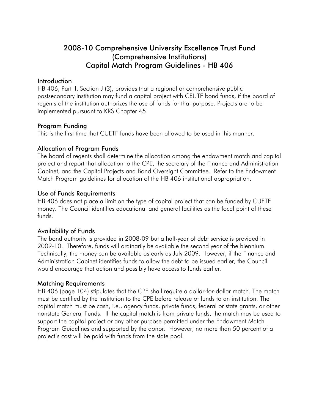# 2008-10 Comprehensive University Excellence Trust Fund (Comprehensive Institutions) Capital Match Program Guidelines - HB 406

# **Introduction**

HB 406, Part II, Section J (3), provides that a regional or comprehensive public postsecondary institution may fund a capital project with CEUTF bond funds, if the board of regents of the institution authorizes the use of funds for that purpose. Projects are to be implemented pursuant to KRS Chapter 45.

# Program Funding

This is the first time that CUETF funds have been allowed to be used in this manner.

# Allocation of Program Funds

The board of regents shall determine the allocation among the endowment match and capital project and report that allocation to the CPE, the secretary of the Finance and Administration Cabinet, and the Capital Projects and Bond Oversight Committee. Refer to the Endowment Match Program guidelines for allocation of the HB 406 institutional appropriation.

# Use of Funds Requirements

HB 406 does not place a limit on the type of capital project that can be funded by CUETF money. The Council identifies educational and general facilities as the focal point of these funds.

# Availability of Funds

The bond authority is provided in 2008-09 but a half-year of debt service is provided in 2009-10. Therefore, funds will ordinarily be available the second year of the biennium. Technically, the money can be available as early as July 2009. However, if the Finance and Administration Cabinet identifies funds to allow the debt to be issued earlier, the Council would encourage that action and possibly have access to funds earlier.

# Matching Requirements

HB 406 (page 104) stipulates that the CPE shall require a dollar-for-dollar match. The match must be certified by the institution to the CPE before release of funds to an institution. The capital match must be cash, i.e., agency funds, private funds, federal or state grants, or other nonstate General Funds. If the capital match is from private funds, the match may be used to support the capital project or any other purpose permitted under the Endowment Match Program Guidelines and supported by the donor. However, no more than 50 percent of a project's cost will be paid with funds from the state pool.